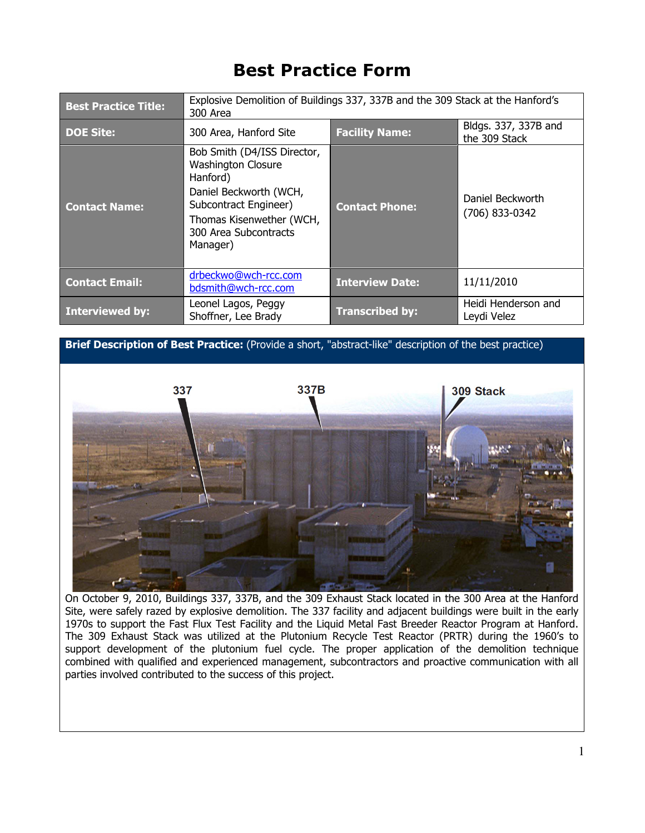## Best Practice Form

| <b>Best Practice Title:</b> | Explosive Demolition of Buildings 337, 337B and the 309 Stack at the Hanford's<br>300 Area                                                                                               |                        |                                       |
|-----------------------------|------------------------------------------------------------------------------------------------------------------------------------------------------------------------------------------|------------------------|---------------------------------------|
| <b>DOE Site:</b>            | 300 Area, Hanford Site                                                                                                                                                                   | <b>Facility Name:</b>  | Bldgs. 337, 337B and<br>the 309 Stack |
| <b>Contact Name:</b>        | Bob Smith (D4/ISS Director,<br><b>Washington Closure</b><br>Hanford)<br>Daniel Beckworth (WCH,<br>Subcontract Engineer)<br>Thomas Kisenwether (WCH,<br>300 Area Subcontracts<br>Manager) | <b>Contact Phone:</b>  | Daniel Beckworth<br>(706) 833-0342    |
| <b>Contact Email:</b>       | drbeckwo@wch-rcc.com<br>bdsmith@wch-rcc.com                                                                                                                                              | <b>Interview Date:</b> | 11/11/2010                            |
| <b>Interviewed by:</b>      | Leonel Lagos, Peggy<br>Shoffner, Lee Brady                                                                                                                                               | <b>Transcribed by:</b> | Heidi Henderson and<br>Leydi Velez    |

Brief Description of Best Practice: (Provide a short, "abstract-like" description of the best practice)



On October 9, 2010, Buildings 337, 337B, and the 309 Exhaust Stack located in the 300 Area at the Hanford Site, were safely razed by explosive demolition. The 337 facility and adjacent buildings were built in the early 1970s to support the Fast Flux Test Facility and the Liquid Metal Fast Breeder Reactor Program at Hanford. The 309 Exhaust Stack was utilized at the Plutonium Recycle Test Reactor (PRTR) during the 1960's to support development of the plutonium fuel cycle. The proper application of the demolition technique combined with qualified and experienced management, subcontractors and proactive communication with all parties involved contributed to the success of this project.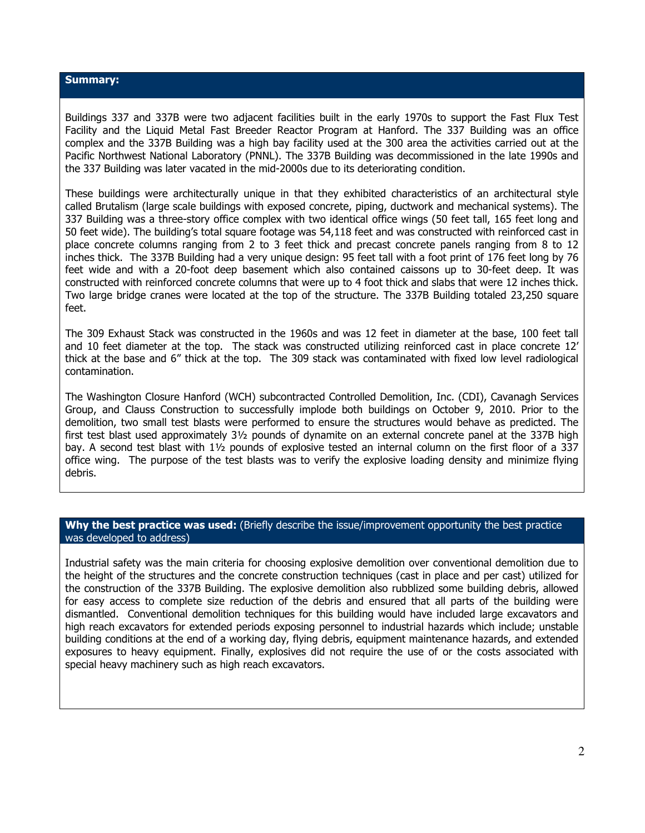## Summary:

Buildings 337 and 337B were two adjacent facilities built in the early 1970s to support the Fast Flux Test Facility and the Liquid Metal Fast Breeder Reactor Program at Hanford. The 337 Building was an office complex and the 337B Building was a high bay facility used at the 300 area the activities carried out at the Pacific Northwest National Laboratory (PNNL). The 337B Building was decommissioned in the late 1990s and the 337 Building was later vacated in the mid-2000s due to its deteriorating condition.

These buildings were architecturally unique in that they exhibited characteristics of an architectural style called Brutalism (large scale buildings with exposed concrete, piping, ductwork and mechanical systems). The 337 Building was a three-story office complex with two identical office wings (50 feet tall, 165 feet long and 50 feet wide). The building's total square footage was 54,118 feet and was constructed with reinforced cast in place concrete columns ranging from 2 to 3 feet thick and precast concrete panels ranging from 8 to 12 inches thick. The 337B Building had a very unique design: 95 feet tall with a foot print of 176 feet long by 76 feet wide and with a 20-foot deep basement which also contained caissons up to 30-feet deep. It was constructed with reinforced concrete columns that were up to 4 foot thick and slabs that were 12 inches thick. Two large bridge cranes were located at the top of the structure. The 337B Building totaled 23,250 square feet.

The 309 Exhaust Stack was constructed in the 1960s and was 12 feet in diameter at the base, 100 feet tall and 10 feet diameter at the top. The stack was constructed utilizing reinforced cast in place concrete 12' thick at the base and 6" thick at the top. The 309 stack was contaminated with fixed low level radiological contamination.

The Washington Closure Hanford (WCH) subcontracted Controlled Demolition, Inc. (CDI), Cavanagh Services Group, and Clauss Construction to successfully implode both buildings on October 9, 2010. Prior to the demolition, two small test blasts were performed to ensure the structures would behave as predicted. The first test blast used approximately 3½ pounds of dynamite on an external concrete panel at the 337B high bay. A second test blast with 1½ pounds of explosive tested an internal column on the first floor of a 337 office wing. The purpose of the test blasts was to verify the explosive loading density and minimize flying debris.

## Why the best practice was used: (Briefly describe the issue/improvement opportunity the best practice was developed to address)

Industrial safety was the main criteria for choosing explosive demolition over conventional demolition due to the height of the structures and the concrete construction techniques (cast in place and per cast) utilized for the construction of the 337B Building. The explosive demolition also rubblized some building debris, allowed for easy access to complete size reduction of the debris and ensured that all parts of the building were dismantled. Conventional demolition techniques for this building would have included large excavators and high reach excavators for extended periods exposing personnel to industrial hazards which include; unstable building conditions at the end of a working day, flying debris, equipment maintenance hazards, and extended exposures to heavy equipment. Finally, explosives did not require the use of or the costs associated with special heavy machinery such as high reach excavators.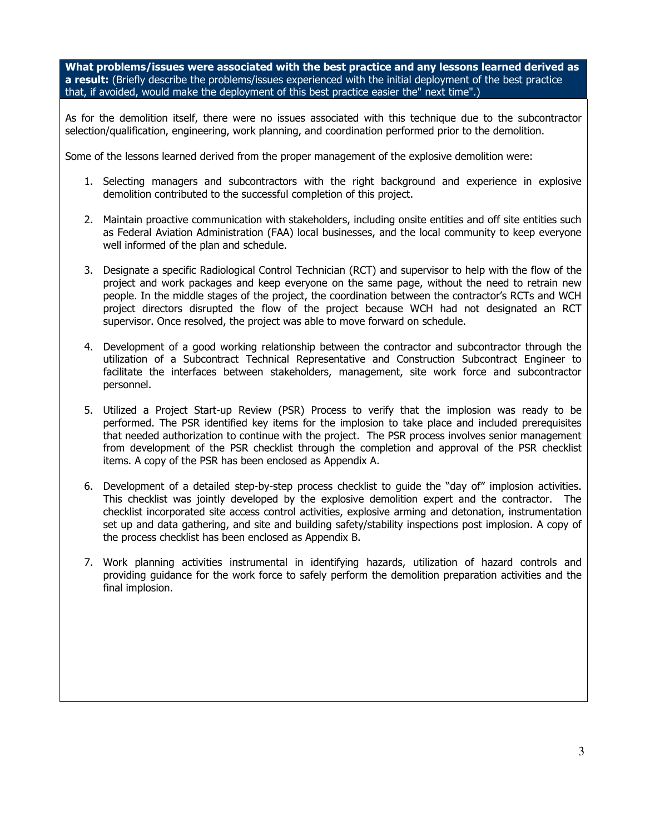What problems/issues were associated with the best practice and any lessons learned derived as a result: (Briefly describe the problems/issues experienced with the initial deployment of the best practice that, if avoided, would make the deployment of this best practice easier the" next time".)

As for the demolition itself, there were no issues associated with this technique due to the subcontractor selection/qualification, engineering, work planning, and coordination performed prior to the demolition.

Some of the lessons learned derived from the proper management of the explosive demolition were:

- 1. Selecting managers and subcontractors with the right background and experience in explosive demolition contributed to the successful completion of this project.
- 2. Maintain proactive communication with stakeholders, including onsite entities and off site entities such as Federal Aviation Administration (FAA) local businesses, and the local community to keep everyone well informed of the plan and schedule.
- 3. Designate a specific Radiological Control Technician (RCT) and supervisor to help with the flow of the project and work packages and keep everyone on the same page, without the need to retrain new people. In the middle stages of the project, the coordination between the contractor's RCTs and WCH project directors disrupted the flow of the project because WCH had not designated an RCT supervisor. Once resolved, the project was able to move forward on schedule.
- 4. Development of a good working relationship between the contractor and subcontractor through the utilization of a Subcontract Technical Representative and Construction Subcontract Engineer to facilitate the interfaces between stakeholders, management, site work force and subcontractor personnel.
- 5. Utilized a Project Start-up Review (PSR) Process to verify that the implosion was ready to be performed. The PSR identified key items for the implosion to take place and included prerequisites that needed authorization to continue with the project. The PSR process involves senior management from development of the PSR checklist through the completion and approval of the PSR checklist items. A copy of the PSR has been enclosed as Appendix A.
- 6. Development of a detailed step-by-step process checklist to guide the "day of" implosion activities. This checklist was jointly developed by the explosive demolition expert and the contractor. The checklist incorporated site access control activities, explosive arming and detonation, instrumentation set up and data gathering, and site and building safety/stability inspections post implosion. A copy of the process checklist has been enclosed as Appendix B.
- 7. Work planning activities instrumental in identifying hazards, utilization of hazard controls and providing guidance for the work force to safely perform the demolition preparation activities and the final implosion.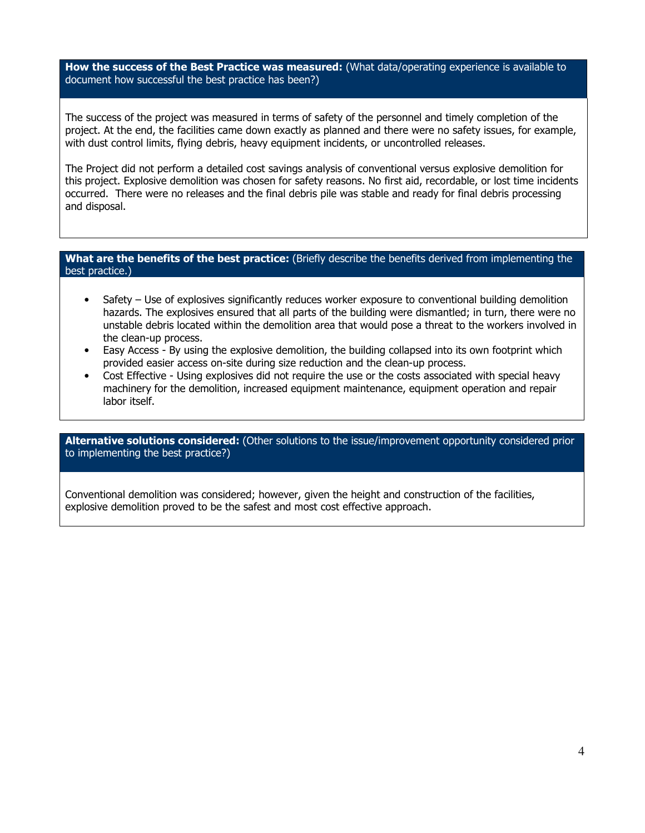How the success of the Best Practice was measured: (What data/operating experience is available to document how successful the best practice has been?)

The success of the project was measured in terms of safety of the personnel and timely completion of the project. At the end, the facilities came down exactly as planned and there were no safety issues, for example, with dust control limits, flying debris, heavy equipment incidents, or uncontrolled releases.

The Project did not perform a detailed cost savings analysis of conventional versus explosive demolition for this project. Explosive demolition was chosen for safety reasons. No first aid, recordable, or lost time incidents occurred. There were no releases and the final debris pile was stable and ready for final debris processing and disposal.

## What are the benefits of the best practice: (Briefly describe the benefits derived from implementing the best practice.)

- Safety Use of explosives significantly reduces worker exposure to conventional building demolition hazards. The explosives ensured that all parts of the building were dismantled; in turn, there were no unstable debris located within the demolition area that would pose a threat to the workers involved in the clean-up process.
- Easy Access By using the explosive demolition, the building collapsed into its own footprint which provided easier access on-site during size reduction and the clean-up process.
- Cost Effective Using explosives did not require the use or the costs associated with special heavy machinery for the demolition, increased equipment maintenance, equipment operation and repair labor itself.

Alternative solutions considered: (Other solutions to the issue/improvement opportunity considered prior to implementing the best practice?)

Conventional demolition was considered; however, given the height and construction of the facilities, explosive demolition proved to be the safest and most cost effective approach.